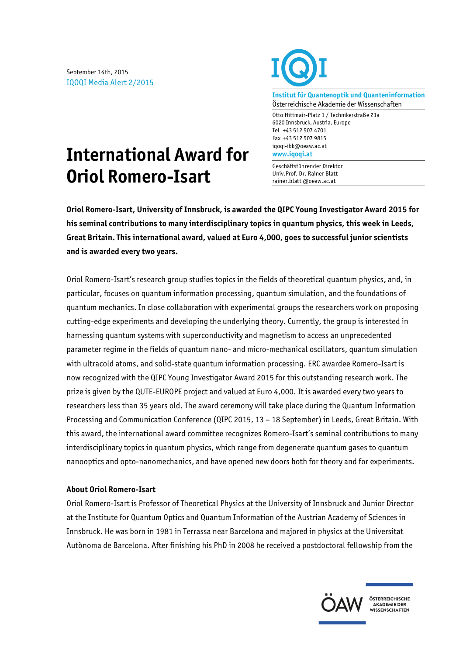September 14th, 2015 IQOQI Media Alert 2/2015



**Institut für Quantenoptik und Quanteninformation** Österreichische Akademie der Wissenschaften

Otto Hittmair-Platz 1 / Technikerstraße 21a 6020 Innsbruck, Austria, Europe Tel +43 512 507 4701 Fax +43 512 507 9815 iqoqi-ibk@oeaw.ac.at **www.iqoqi.at**

## Geschäftsführender Direktor Univ.Prof. Dr. Rainer Blatt rainer.blatt @oeaw.ac.at

**International Award for Oriol Romero-Isart**

**Oriol Romero-Isart, University of Innsbruck, is awarded the QIPC Young Investigator Award 2015 for his seminal contributions to many interdisciplinary topics in quantum physics, this week in Leeds, Great Britain. This international award, valued at Euro 4,000, goes to successful junior scientists and is awarded every two years.** 

Oriol Romero-Isart's research group studies topics in the fields of theoretical quantum physics, and, in particular, focuses on quantum information processing, quantum simulation, and the foundations of quantum mechanics. In close collaboration with experimental groups the researchers work on proposing cutting-edge experiments and developing the underlying theory. Currently, the group is interested in harnessing quantum systems with superconductivity and magnetism to access an unprecedented parameter regime in the fields of quantum nano- and micro-mechanical oscillators, quantum simulation with ultracold atoms, and solid-state quantum information processing. ERC awardee Romero-Isart is now recognized with the QIPC Young Investigator Award 2015 for this outstanding research work. The prize is given by the QUTE-EUROPE project and valued at Euro 4,000. It is awarded every two years to researchers less than 35 years old. The award ceremony will take place during the Quantum Information Processing and Communication Conference (QIPC 2015, 13 – 18 September) in Leeds, Great Britain. With this award, the international award committee recognizes Romero-Isart's seminal contributions to many interdisciplinary topics in quantum physics, which range from degenerate quantum gases to quantum nanooptics and opto-nanomechanics, and have opened new doors both for theory and for experiments.

## **About Oriol Romero-Isart**

Oriol Romero-Isart is Professor of Theoretical Physics at the University of Innsbruck and Junior Director at the Institute for Quantum Optics and Quantum Information of the Austrian Academy of Sciences in Innsbruck. He was born in 1981 in Terrassa near Barcelona and majored in physics at the Universitat Autònoma de Barcelona. After finishing his PhD in 2008 he received a postdoctoral fellowship from the



ÖSTERREICHISCHE **AKADEMIE DER<br>WISSENSCHAFTEN**